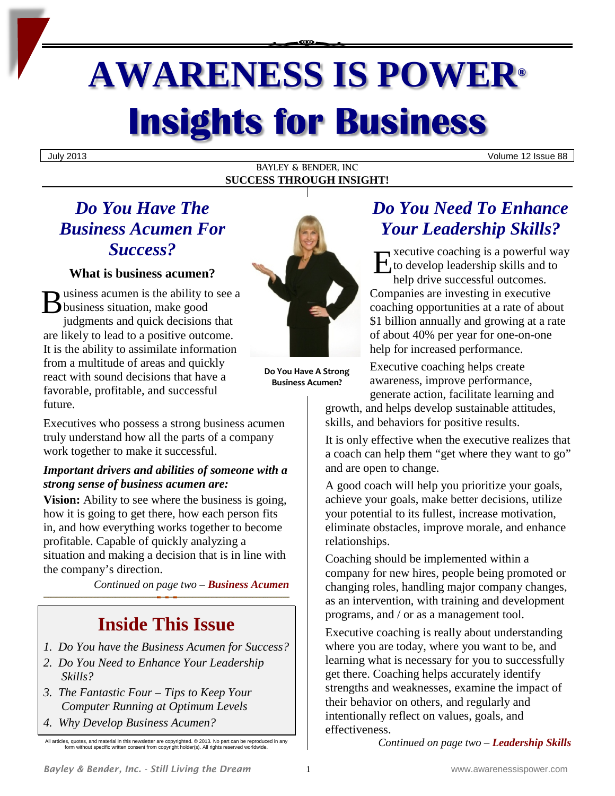# **AWARENESS IS POWER® Insights for Business**

July 2013 Volume 12 Issue 88

#### BAYLEY & BENDER, INC **SUCCESS THROUGH INSIGHT!**

## *Do You Have The Business Acumen For Success?*

**What is business acumen?**

usiness acumen is the ability to see a **B** usiness acumen is the ability to<br>business situation, make good judgments and quick decisions that are likely to lead to a positive outcome. It is the ability to assimilate information from a multitude of areas and quickly react with sound decisions that have a favorable, profitable, and successful future.

Executives who possess a strong business acumen truly understand how all the parts of a company work together to make it successful.

## *Important drivers and abilities of someone with a strong sense of business acumen are:*

**Vision:** Ability to see where the business is going, how it is going to get there, how each person fits in, and how everything works together to become profitable. Capable of quickly analyzing a situation and making a decision that is in line with the company's direction.

*Continued on page two – Business Acumen* 

# **Inside This Issue**

- *1. Do You have the Business Acumen for Success?*
- *2. Do You Need to Enhance Your Leadership Skills?*
- *3. The Fantastic Four – Tips to Keep Your Computer Running at Optimum Levels*
- *4. Why Develop Business Acumen?*



**Do You Have A Strong Business Acumen?**

# *Do You Need To Enhance Your Leadership Skills?*

xecutive coaching is a powerful way to develop leadership skills and to help drive successful outcomes. Companies are investing in executive coaching opportunities at a rate of about \$1 billion annually and growing at a rate of about 40% per year for one-on-one help for increased performance. E

Executive coaching helps create awareness, improve performance, generate action, facilitate learning and

growth, and helps develop sustainable attitudes, skills, and behaviors for positive results.

It is only effective when the executive realizes that a coach can help them "get where they want to go" and are open to change.

A good coach will help you prioritize your goals, achieve your goals, make better decisions, utilize your potential to its fullest, increase motivation, eliminate obstacles, improve morale, and enhance relationships.

Coaching should be implemented within a company for new hires, people being promoted or changing roles, handling major company changes, as an intervention, with training and development programs, and / or as a management tool.

Executive coaching is really about understanding where you are today, where you want to be, and learning what is necessary for you to successfully get there. Coaching helps accurately identify strengths and weaknesses, examine the impact of their behavior on others, and regularly and intentionally reflect on values, goals, and effectiveness.

*Continued on page two – Leadership Skills*

All articles, quotes, and material in this newsletter are copyrighted. © 2013. No part can be reproduced in any form without specific written consent from copyright holder(s). All rights reserved worldwide.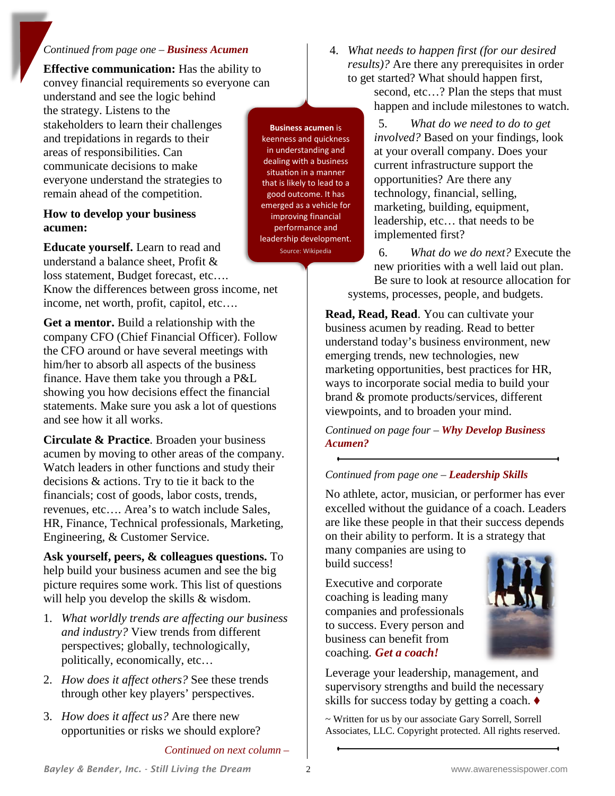#### *Continued from page one – Business Acumen*

**Effective communication:** Has the ability to convey financial requirements so everyone can

understand and see the logic behind the strategy. Listens to the stakeholders to learn their challenges and trepidations in regards to their areas of responsibilities. Can communicate decisions to make everyone understand the strategies to remain ahead of the competition.

#### **How to develop your business acumen:**

**Educate yourself.** Learn to read and understand a balance sheet, Profit & loss statement, Budget forecast, etc….

Know the differences between gross income, net income, net worth, profit, capitol, etc….

**Get a mentor.** Build a relationship with the company CFO (Chief Financial Officer). Follow the CFO around or have several meetings with him/her to absorb all aspects of the business finance. Have them take you through a P&L showing you how decisions effect the financial statements. Make sure you ask a lot of questions and see how it all works.

**Circulate & Practice**. Broaden your business acumen by moving to other areas of the company. Watch leaders in other functions and study their decisions & actions. Try to tie it back to the financials; cost of goods, labor costs, trends, revenues, etc…. Area's to watch include Sales, HR, Finance, Technical professionals, Marketing, Engineering, & Customer Service.

**Ask yourself, peers, & colleagues questions.** To help build your business acumen and see the big picture requires some work. This list of questions will help you develop the skills & wisdom.

- 1. *What worldly trends are affecting our business and industry?* View trends from different perspectives; globally, technologically, politically, economically, etc…
- 2. *How does it affect others?* See these trends through other key players' perspectives.
- 3. *How does it affect us?* Are there new opportunities or risks we should explore?

*Continued on next column –*

**Business acumen** is keenness and quickness in understanding and dealing with a business situation in a manner that is likely to lead to a good outcome. It has emerged as a vehicle for improving financial performance and leadership development.

Source: Wikipedia

4. *What needs to happen first (for our desired results)?* Are there any prerequisites in order to get started? What should happen first,

second, etc...? Plan the steps that must happen and include milestones to watch.

5. *What do we need to do to get involved?* Based on your findings, look at your overall company. Does your current infrastructure support the opportunities? Are there any technology, financial, selling, marketing, building, equipment, leadership, etc… that needs to be implemented first?

6. *What do we do next?* Execute the new priorities with a well laid out plan. Be sure to look at resource allocation for systems, processes, people, and budgets.

**Read, Read, Read**. You can cultivate your business acumen by reading. Read to better understand today's business environment, new emerging trends, new technologies, new marketing opportunities, best practices for HR, ways to incorporate social media to build your brand & promote products/services, different viewpoints, and to broaden your mind.

*Continued on page four – Why Develop Business Acumen?*

#### *Continued from page one – Leadership Skills*

No athlete, actor, musician, or performer has ever excelled without the guidance of a coach. Leaders are like these people in that their success depends on their ability to perform. It is a strategy that

many companies are using to build success!

Executive and corporate coaching is leading many companies and professionals to success. Every person and business can benefit from coaching. *Get a coach!*



Leverage your leadership, management, and supervisory strengths and build the necessary skills for success today by getting a coach.

~ Written for us by our associate Gary Sorrell, Sorrell Associates, LLC. Copyright protected. All rights reserved.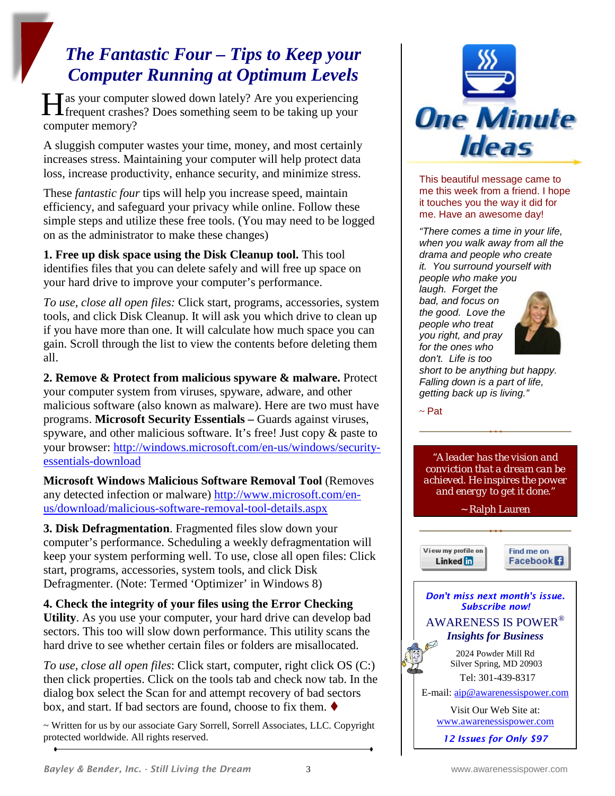## *The Fantastic Four – Tips to Keep your Computer Running at Optimum Levels*

Tas your computer slowed down lately? Are you experiencing He as your computer slowed down lately? Are you experiencing<br>frequent crashes? Does something seem to be taking up your computer memory?

A sluggish computer wastes your time, money, and most certainly increases stress. Maintaining your computer will help protect data loss, increase productivity, enhance security, and minimize stress.

These *fantastic four* tips will help you increase speed, maintain efficiency, and safeguard your privacy while online. Follow these simple steps and utilize these free tools. (You may need to be logged on as the administrator to make these changes)

**1. Free up disk space using the Disk Cleanup tool.** This tool identifies files that you can delete safely and will free up space on your hard drive to improve your computer's performance.

*To use, close all open files:* Click start, programs, accessories, system tools, and click Disk Cleanup. It will ask you which drive to clean up if you have more than one. It will calculate how much space you can gain. Scroll through the list to view the contents before deleting them all.

**2. Remove & Protect from malicious spyware & malware.** Protect your computer system from viruses, spyware, adware, and other malicious software (also known as malware). Here are two must have programs. **Microsoft Security Essentials –** Guards against viruses, spyware, and other malicious software. It's free! Just copy & paste to your browser: [http://windows.microsoft.com/en-us/windows/security](http://windows.microsoft.com/en-us/windows/security-essentials-download)[essentials-download](http://windows.microsoft.com/en-us/windows/security-essentials-download)

**Microsoft Windows Malicious Software Removal Tool** (Removes any detected infection or malware) [http://www.microsoft.com/en](http://www.microsoft.com/en-us/download/malicious-software-removal-tool-details.aspx)[us/download/malicious-software-removal-tool-details.aspx](http://www.microsoft.com/en-us/download/malicious-software-removal-tool-details.aspx)

**3. Disk Defragmentation**. Fragmented files slow down your computer's performance. Scheduling a weekly defragmentation will keep your system performing well. To use, close all open files: Click start, programs, accessories, system tools, and click Disk Defragmenter. (Note: Termed 'Optimizer' in Windows 8)

**4. Check the integrity of your files using the Error Checking Utility**. As you use your computer, your hard drive can develop bad sectors. This too will slow down performance. This utility scans the hard drive to see whether certain files or folders are misallocated.

*To use, close all open files*: Click start, computer, right click OS (C:) then click properties. Click on the tools tab and check now tab. In the dialog box select the Scan for and attempt recovery of bad sectors box, and start. If bad sectors are found, choose to fix them.

~ Written for us by our associate Gary Sorrell, Sorrell Associates, LLC. Copyright protected worldwide. All rights reserved.



This beautiful message came to me this week from a friend. I hope it touches you the way it did for me. Have an awesome day!

*"There comes a time in your life, when you walk away from all the drama and people who create it. You surround yourself with people who make you laugh. Forget the bad, and focus on the good. Love the people who treat you right, and pray for the ones who* 



*don't. Life is too short to be anything but happy. Falling down is a part of life, getting back up is living."*

 $~\sim$  Pat

*"A leader has the vision and conviction that a dream can be achieved. He inspires the power and energy to get it done."* 

~ Ralph Lauren

View my profile on Linked in





*12 Issues for Only \$97*